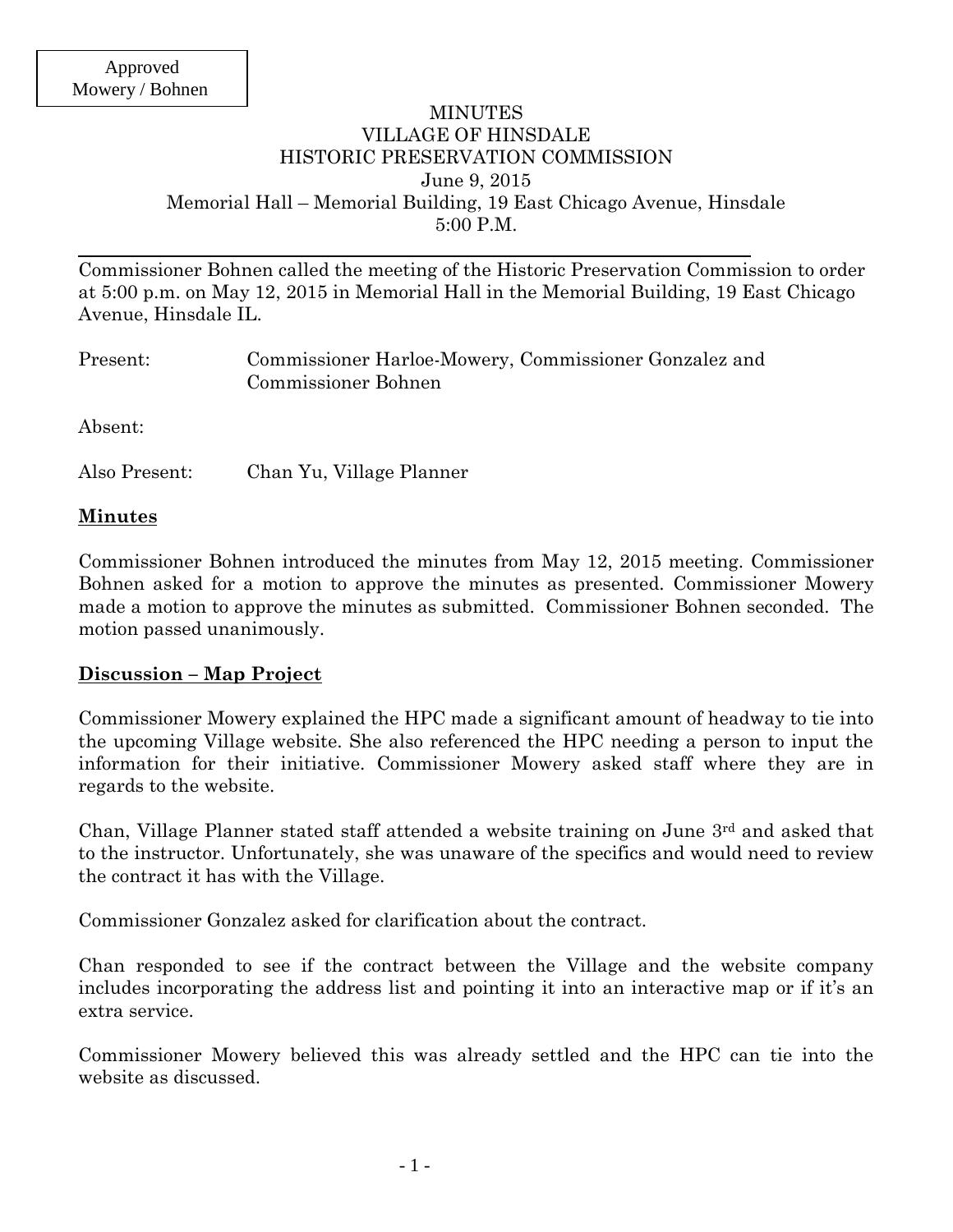### MINUTES VILLAGE OF HINSDALE HISTORIC PRESERVATION COMMISSION June 9, 2015 Memorial Hall – Memorial Building, 19 East Chicago Avenue, Hinsdale 5:00 P.M.

Commissioner Bohnen called the meeting of the Historic Preservation Commission to order at 5:00 p.m. on May 12, 2015 in Memorial Hall in the Memorial Building, 19 East Chicago Avenue, Hinsdale IL.

| Present: | Commissioner Harloe-Mowery, Commissioner Gonzalez and<br>Commissioner Bohnen |
|----------|------------------------------------------------------------------------------|
| Absent:  |                                                                              |

Also Present: Chan Yu, Village Planner

### **Minutes**

Commissioner Bohnen introduced the minutes from May 12, 2015 meeting. Commissioner Bohnen asked for a motion to approve the minutes as presented. Commissioner Mowery made a motion to approve the minutes as submitted. Commissioner Bohnen seconded. The motion passed unanimously.

## **Discussion – Map Project**

Commissioner Mowery explained the HPC made a significant amount of headway to tie into the upcoming Village website. She also referenced the HPC needing a person to input the information for their initiative. Commissioner Mowery asked staff where they are in regards to the website.

Chan, Village Planner stated staff attended a website training on June 3rd and asked that to the instructor. Unfortunately, she was unaware of the specifics and would need to review the contract it has with the Village.

Commissioner Gonzalez asked for clarification about the contract.

Chan responded to see if the contract between the Village and the website company includes incorporating the address list and pointing it into an interactive map or if it's an extra service.

Commissioner Mowery believed this was already settled and the HPC can tie into the website as discussed.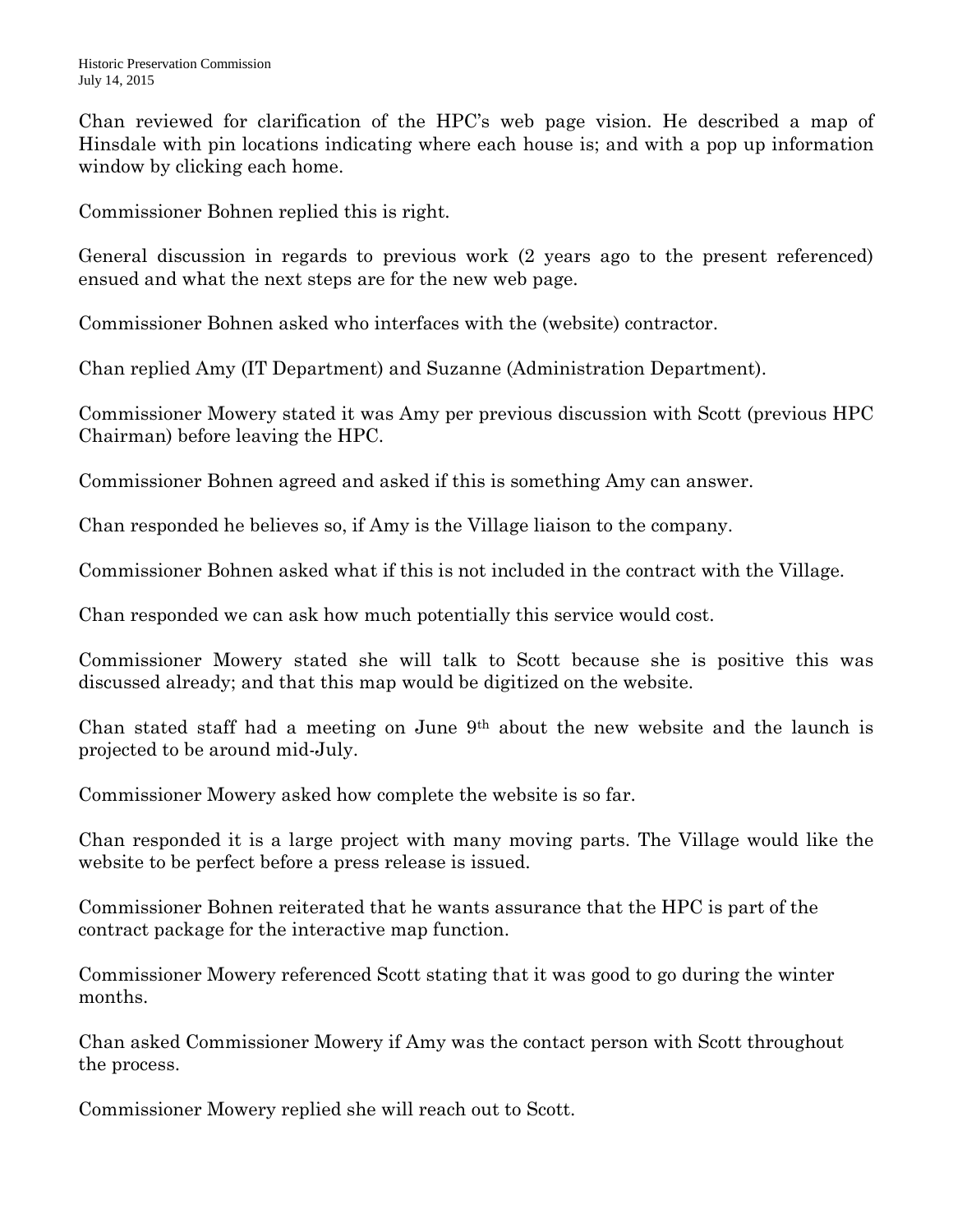Chan reviewed for clarification of the HPC's web page vision. He described a map of Hinsdale with pin locations indicating where each house is; and with a pop up information window by clicking each home.

Commissioner Bohnen replied this is right.

General discussion in regards to previous work (2 years ago to the present referenced) ensued and what the next steps are for the new web page.

Commissioner Bohnen asked who interfaces with the (website) contractor.

Chan replied Amy (IT Department) and Suzanne (Administration Department).

Commissioner Mowery stated it was Amy per previous discussion with Scott (previous HPC Chairman) before leaving the HPC.

Commissioner Bohnen agreed and asked if this is something Amy can answer.

Chan responded he believes so, if Amy is the Village liaison to the company.

Commissioner Bohnen asked what if this is not included in the contract with the Village.

Chan responded we can ask how much potentially this service would cost.

Commissioner Mowery stated she will talk to Scott because she is positive this was discussed already; and that this map would be digitized on the website.

Chan stated staff had a meeting on June 9th about the new website and the launch is projected to be around mid-July.

Commissioner Mowery asked how complete the website is so far.

Chan responded it is a large project with many moving parts. The Village would like the website to be perfect before a press release is issued.

Commissioner Bohnen reiterated that he wants assurance that the HPC is part of the contract package for the interactive map function.

Commissioner Mowery referenced Scott stating that it was good to go during the winter months.

Chan asked Commissioner Mowery if Amy was the contact person with Scott throughout the process.

Commissioner Mowery replied she will reach out to Scott.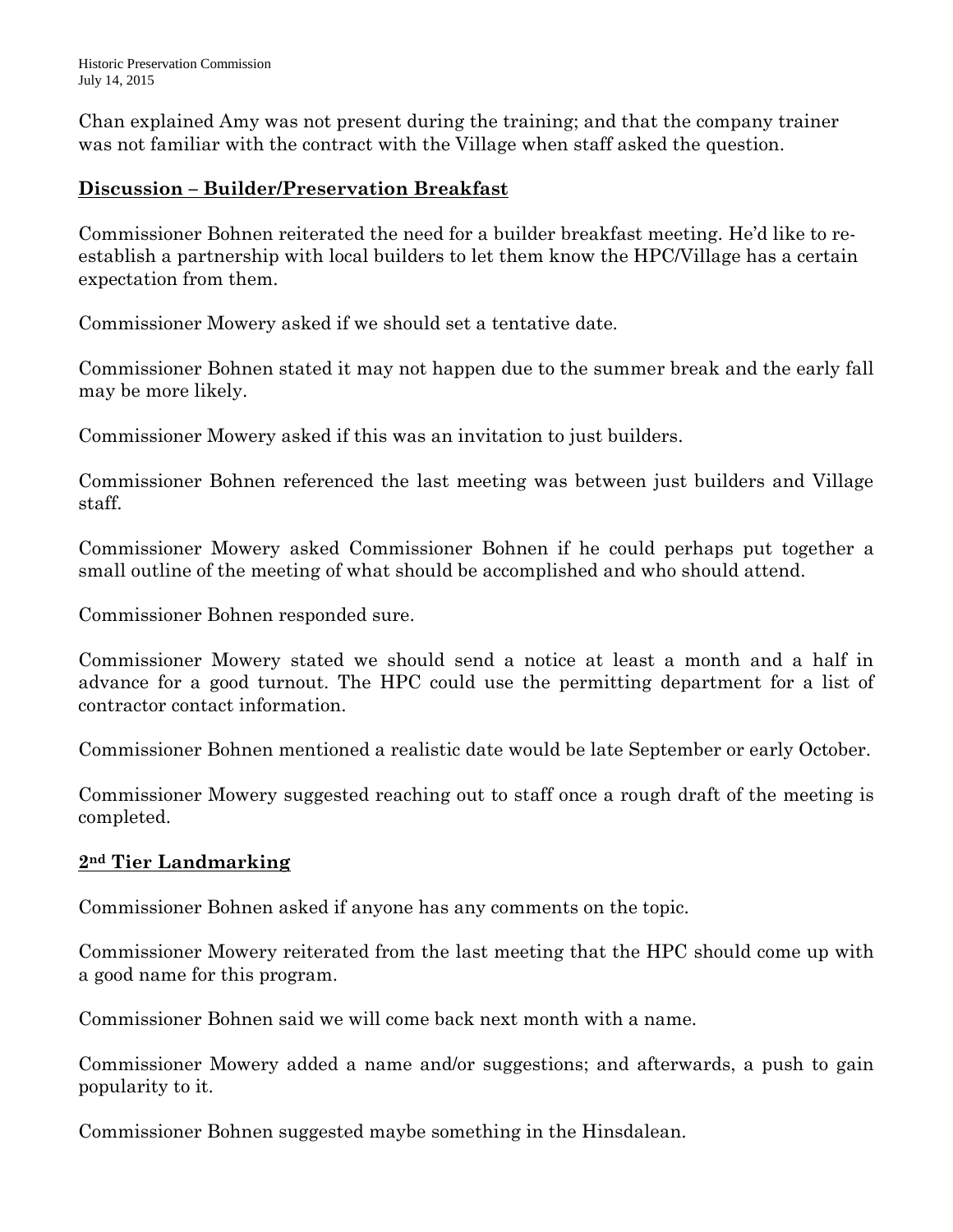Historic Preservation Commission July 14, 2015

Chan explained Amy was not present during the training; and that the company trainer was not familiar with the contract with the Village when staff asked the question.

## **Discussion – Builder/Preservation Breakfast**

Commissioner Bohnen reiterated the need for a builder breakfast meeting. He'd like to reestablish a partnership with local builders to let them know the HPC/Village has a certain expectation from them.

Commissioner Mowery asked if we should set a tentative date.

Commissioner Bohnen stated it may not happen due to the summer break and the early fall may be more likely.

Commissioner Mowery asked if this was an invitation to just builders.

Commissioner Bohnen referenced the last meeting was between just builders and Village staff.

Commissioner Mowery asked Commissioner Bohnen if he could perhaps put together a small outline of the meeting of what should be accomplished and who should attend.

Commissioner Bohnen responded sure.

Commissioner Mowery stated we should send a notice at least a month and a half in advance for a good turnout. The HPC could use the permitting department for a list of contractor contact information.

Commissioner Bohnen mentioned a realistic date would be late September or early October.

Commissioner Mowery suggested reaching out to staff once a rough draft of the meeting is completed.

# **2nd Tier Landmarking**

Commissioner Bohnen asked if anyone has any comments on the topic.

Commissioner Mowery reiterated from the last meeting that the HPC should come up with a good name for this program.

Commissioner Bohnen said we will come back next month with a name.

Commissioner Mowery added a name and/or suggestions; and afterwards, a push to gain popularity to it.

Commissioner Bohnen suggested maybe something in the Hinsdalean.